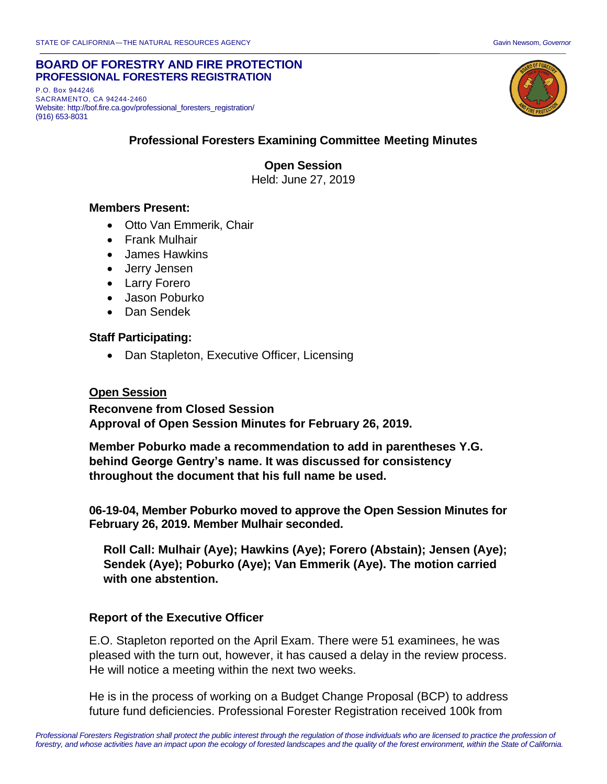#### **BOARD OF FORESTRY AND FIRE PROTECTION PROFESSIONAL FORESTERS REGISTRATION**

P.O. Box 944246 SACRAMENTO, CA 94244-2460 Website: http://bof.fire.ca.gov/professional\_foresters\_registration/ (916) 653-8031



### **Professional Foresters Examining Committee Meeting Minutes**

**Open Session** Held: June 27, 2019

#### **Members Present:**

- Otto Van Emmerik, Chair
- Frank Mulhair
- James Hawkins
- Jerry Jensen
- Larry Forero
- Jason Poburko
- Dan Sendek

#### **Staff Participating:**

• Dan Stapleton, Executive Officer, Licensing

#### **Open Session**

**Reconvene from Closed Session Approval of Open Session Minutes for February 26, 2019.**

**Member Poburko made a recommendation to add in parentheses Y.G. behind George Gentry's name. It was discussed for consistency throughout the document that his full name be used.**

**06-19-04, Member Poburko moved to approve the Open Session Minutes for February 26, 2019. Member Mulhair seconded.**

**Roll Call: Mulhair (Aye); Hawkins (Aye); Forero (Abstain); Jensen (Aye); Sendek (Aye); Poburko (Aye); Van Emmerik (Aye). The motion carried with one abstention.**

#### **Report of the Executive Officer**

E.O. Stapleton reported on the April Exam. There were 51 examinees, he was pleased with the turn out, however, it has caused a delay in the review process. He will notice a meeting within the next two weeks.

He is in the process of working on a Budget Change Proposal (BCP) to address future fund deficiencies. Professional Forester Registration received 100k from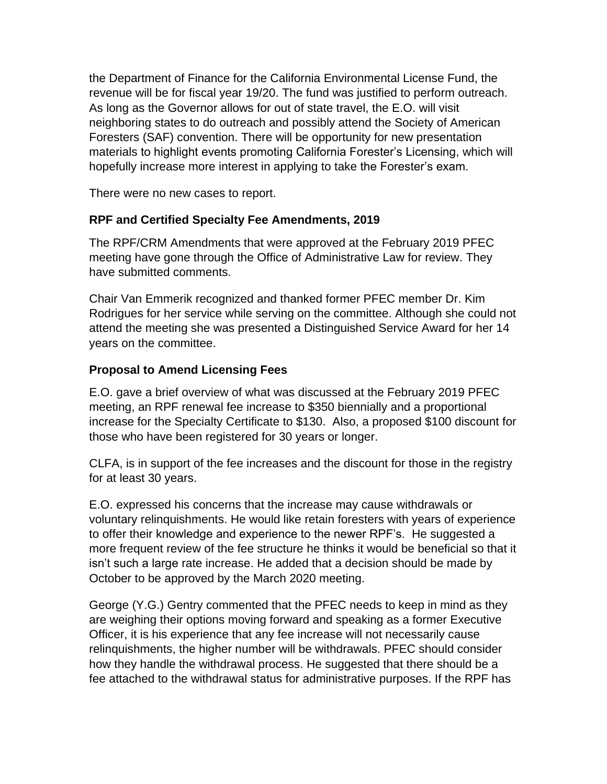the Department of Finance for the California Environmental License Fund, the revenue will be for fiscal year 19/20. The fund was justified to perform outreach. As long as the Governor allows for out of state travel, the E.O. will visit neighboring states to do outreach and possibly attend the Society of American Foresters (SAF) convention. There will be opportunity for new presentation materials to highlight events promoting California Forester's Licensing, which will hopefully increase more interest in applying to take the Forester's exam.

There were no new cases to report.

# **RPF and Certified Specialty Fee Amendments, 2019**

The RPF/CRM Amendments that were approved at the February 2019 PFEC meeting have gone through the Office of Administrative Law for review. They have submitted comments.

Chair Van Emmerik recognized and thanked former PFEC member Dr. Kim Rodrigues for her service while serving on the committee. Although she could not attend the meeting she was presented a Distinguished Service Award for her 14 years on the committee.

# **Proposal to Amend Licensing Fees**

E.O. gave a brief overview of what was discussed at the February 2019 PFEC meeting, an RPF renewal fee increase to \$350 biennially and a proportional increase for the Specialty Certificate to \$130. Also, a proposed \$100 discount for those who have been registered for 30 years or longer.

CLFA, is in support of the fee increases and the discount for those in the registry for at least 30 years.

E.O. expressed his concerns that the increase may cause withdrawals or voluntary relinquishments. He would like retain foresters with years of experience to offer their knowledge and experience to the newer RPF's. He suggested a more frequent review of the fee structure he thinks it would be beneficial so that it isn't such a large rate increase. He added that a decision should be made by October to be approved by the March 2020 meeting.

George (Y.G.) Gentry commented that the PFEC needs to keep in mind as they are weighing their options moving forward and speaking as a former Executive Officer, it is his experience that any fee increase will not necessarily cause relinquishments, the higher number will be withdrawals. PFEC should consider how they handle the withdrawal process. He suggested that there should be a fee attached to the withdrawal status for administrative purposes. If the RPF has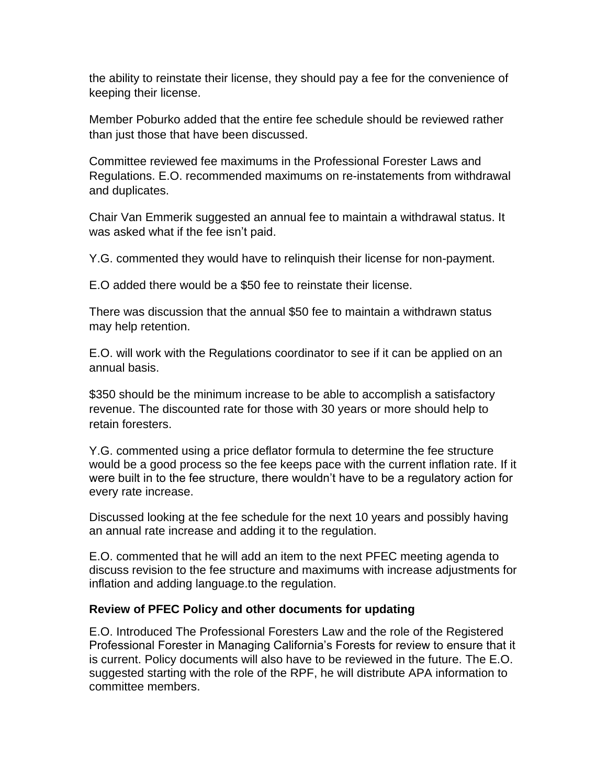the ability to reinstate their license, they should pay a fee for the convenience of keeping their license.

Member Poburko added that the entire fee schedule should be reviewed rather than just those that have been discussed.

Committee reviewed fee maximums in the Professional Forester Laws and Regulations. E.O. recommended maximums on re-instatements from withdrawal and duplicates.

Chair Van Emmerik suggested an annual fee to maintain a withdrawal status. It was asked what if the fee isn't paid.

Y.G. commented they would have to relinquish their license for non-payment.

E.O added there would be a \$50 fee to reinstate their license.

There was discussion that the annual \$50 fee to maintain a withdrawn status may help retention.

E.O. will work with the Regulations coordinator to see if it can be applied on an annual basis.

\$350 should be the minimum increase to be able to accomplish a satisfactory revenue. The discounted rate for those with 30 years or more should help to retain foresters.

Y.G. commented using a price deflator formula to determine the fee structure would be a good process so the fee keeps pace with the current inflation rate. If it were built in to the fee structure, there wouldn't have to be a regulatory action for every rate increase.

Discussed looking at the fee schedule for the next 10 years and possibly having an annual rate increase and adding it to the regulation.

E.O. commented that he will add an item to the next PFEC meeting agenda to discuss revision to the fee structure and maximums with increase adjustments for inflation and adding language.to the regulation.

### **Review of PFEC Policy and other documents for updating**

E.O. Introduced The Professional Foresters Law and the role of the Registered Professional Forester in Managing California's Forests for review to ensure that it is current. Policy documents will also have to be reviewed in the future. The E.O. suggested starting with the role of the RPF, he will distribute APA information to committee members.